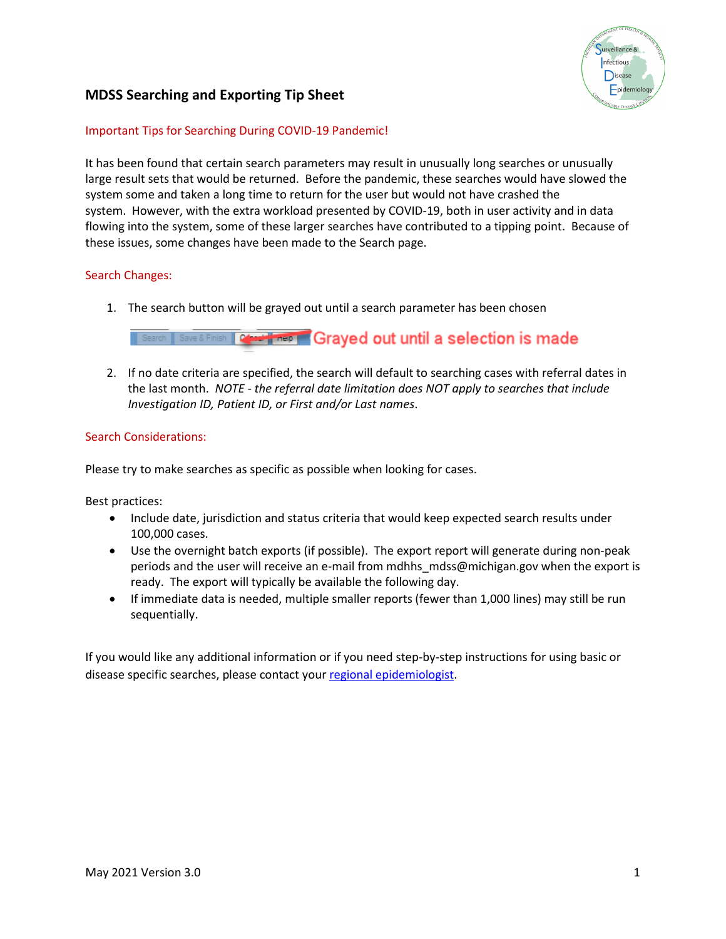

# **MDSS Searching and Exporting Tip Sheet**

### Important Tips for Searching During COVID-19 Pandemic!

It has been found that certain search parameters may result in unusually long searches or unusually large result sets that would be returned. Before the pandemic, these searches would have slowed the system some and taken a long time to return for the user but would not have crashed the system. However, with the extra workload presented by COVID-19, both in user activity and in data flowing into the system, some of these larger searches have contributed to a tipping point. Because of these issues, some changes have been made to the Search page.

#### Search Changes:

1. The search button will be grayed out until a search parameter has been chosen

# **Search Save & Finish | Commitment | Grayed out until a selection is made**

2. If no date criteria are specified, the search will default to searching cases with referral dates in the last month. *NOTE - the referral date limitation does NOT apply to searches that include Investigation ID, Patient ID, or First and/or Last names*.

#### Search Considerations:

Please try to make searches as specific as possible when looking for cases.

Best practices:

- Include date, jurisdiction and status criteria that would keep expected search results under 100,000 cases.
- Use the overnight batch exports (if possible). The export report will generate during non-peak periods and the user will receive an e-mail from mdhhs\_mdss@michigan.gov when the export is ready. The export will typically be available the following day.
- If immediate data is needed, multiple smaller reports (fewer than 1,000 lines) may still be run sequentially.

If you would like any additional information or if you need step-by-step instructions for using basic or disease specific searches, please contact your [regional epidemiologist.](http://www.michigan.gov/documents/MDSS_Support_Resources_87777_7.pdf)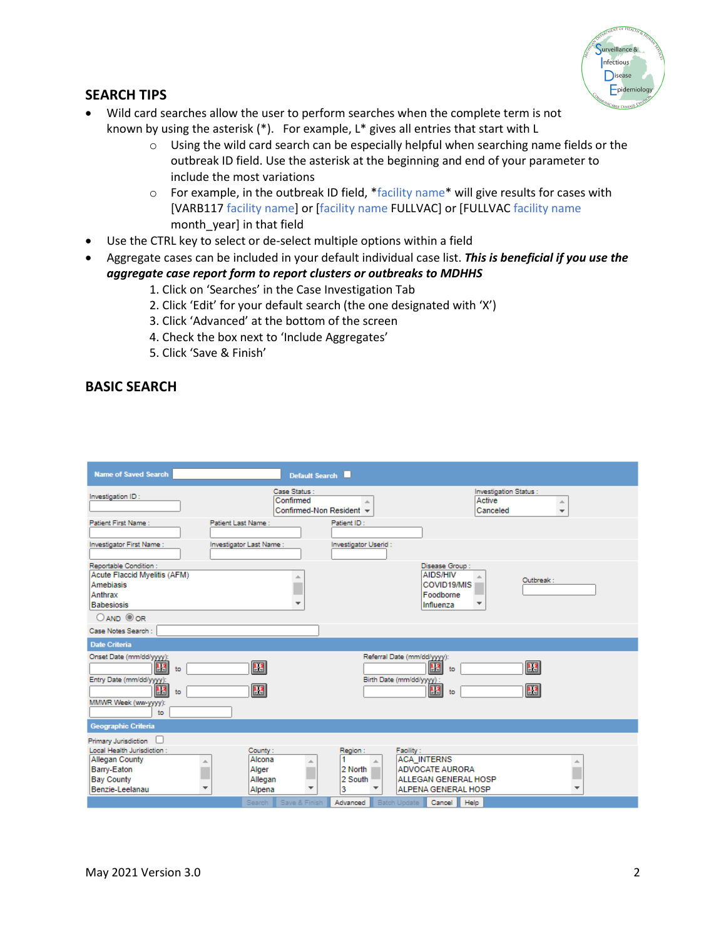

### **SEARCH TIPS**

- Wild card searches allow the user to perform searches when the complete term is not known by using the asterisk (\*). For example, L\* gives all entries that start with L
	- $\circ$  Using the wild card search can be especially helpful when searching name fields or the outbreak ID field. Use the asterisk at the beginning and end of your parameter to include the most variations
	- $\circ$  For example, in the outbreak ID field, \*facility name\* will give results for cases with [VARB117 facility name] or [facility name FULLVAC] or [FULLVAC facility name month\_year] in that field
- Use the CTRL key to select or de-select multiple options within a field
- Aggregate cases can be included in your default individual case list. *This is beneficial if you use the aggregate case report form to report clusters or outbreaks to MDHHS*
	- 1. Click on 'Searches' in the Case Investigation Tab
	- 2. Click 'Edit' for your default search (the one designated with 'X')
	- 3. Click 'Advanced' at the bottom of the screen
	- 4. Check the box next to 'Include Aggregates'
	- 5. Click 'Save & Finish'

### **BASIC SEARCH**

| <b>Name of Saved Search</b>                                                                                                                   | Default Search                                                                   |                                                                                                                                                       |                                                                               |
|-----------------------------------------------------------------------------------------------------------------------------------------------|----------------------------------------------------------------------------------|-------------------------------------------------------------------------------------------------------------------------------------------------------|-------------------------------------------------------------------------------|
| Investigation ID:                                                                                                                             | Case Status:<br>Confirmed<br>Confirmed-Non Resident v                            |                                                                                                                                                       | Investigation Status :<br>Active<br>A.<br>Canceled<br>$\overline{\mathbf{v}}$ |
| Patient First Name:                                                                                                                           | Patient Last Name:                                                               | Patient ID:                                                                                                                                           |                                                                               |
| Investigator First Name:                                                                                                                      | Investigator Last Name:                                                          | Investigator Userid:                                                                                                                                  |                                                                               |
| Reportable Condition:<br>Acute Flaccid Myelitis (AFM)<br>Amebiasis<br>Anthrax<br><b>Babesiosis</b><br>$O$ AND $O$ OR                          |                                                                                  | Disease Group:<br><b>AIDS/HIV</b><br>COVID19/MIS<br>Foodborne<br>Influenza                                                                            | Outbreak:                                                                     |
| Case Notes Search :                                                                                                                           |                                                                                  |                                                                                                                                                       |                                                                               |
| <b>Date Criteria</b>                                                                                                                          |                                                                                  |                                                                                                                                                       |                                                                               |
| Onset Date (mm/dd/yyyy):<br>$\mathbf{H}$<br>to<br>Entry Date (mm/dd/yyyy):<br>13<br>to<br>MMWR Week (ww-yyyy):<br>to                          | $\mathbb{R}^2$<br>$\mathbf{H}^2$                                                 | Referral Date (mm/dd/yyyy):<br>43<br>to<br>Birth Date (mm/dd/yyyy) :<br>$\mathbf{H}$<br>to                                                            | $H^2$<br>$\frac{1}{2}$                                                        |
| <b>Geographic Criteria</b>                                                                                                                    |                                                                                  |                                                                                                                                                       |                                                                               |
| Primary Jurisdiction<br>Local Health Jurisdiction :<br><b>Allegan County</b><br>A<br>Barry-Eaton<br><b>Bay County</b><br>Benzie-Leelanau<br>÷ | County:<br>Alcona<br>A<br>Alger<br>Allegan<br>$\overline{\phantom{a}}$<br>Alpena | Region:<br>Facility:<br><b>ACA INTERNS</b><br>2 North<br><b>ADVOCATE AURORA</b><br>2 South<br>ALLEGAN GENERAL HOSP<br><b>ALPENA GENERAL HOSP</b><br>3 | 业<br>$\overline{\phantom{a}}$                                                 |
|                                                                                                                                               | Search Save & Finish                                                             | Cancel<br>Advanced<br>Batch Update                                                                                                                    | Help                                                                          |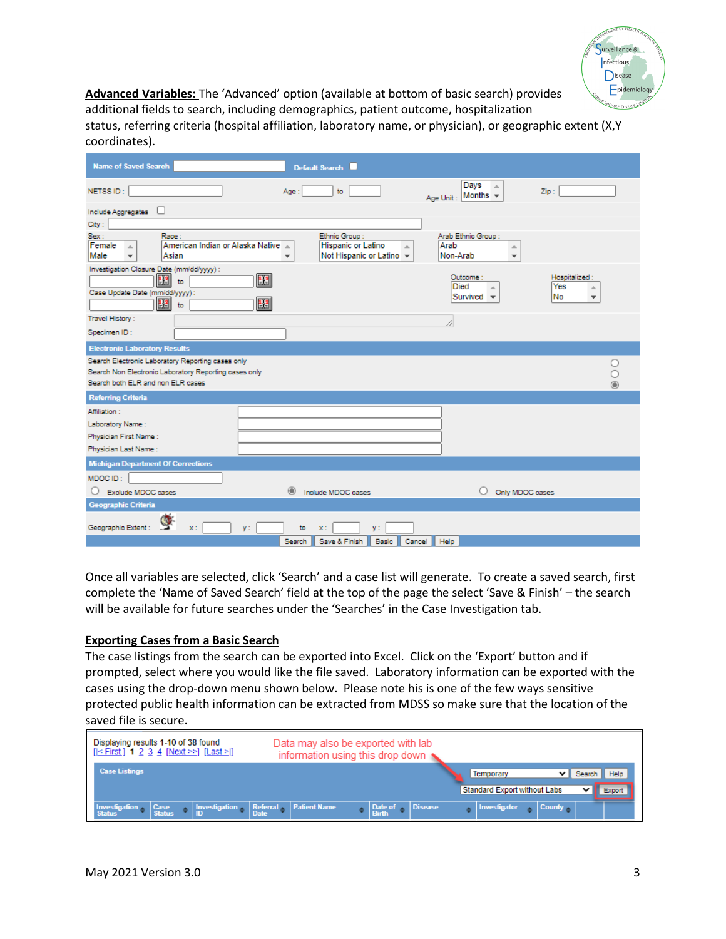

**Advanced Variables:** The 'Advanced' option (available at bottom of basic search) provides additional fields to search, including demographics, patient outcome, hospitalization status, referring criteria (hospital affiliation, laboratory name, or physician), or geographic extent (X,Y coordinates).

| <b>Name of Saved Search</b>                                                                                                                     |         | Default Search                                                               |                                                                         |                                                               |
|-------------------------------------------------------------------------------------------------------------------------------------------------|---------|------------------------------------------------------------------------------|-------------------------------------------------------------------------|---------------------------------------------------------------|
| NETSS ID:                                                                                                                                       | Age:    | to                                                                           | Days<br>$\Delta$<br>Months $\sim$<br>Age Unit:                          | Zip:                                                          |
| Include Aggregates                                                                                                                              |         |                                                                              |                                                                         |                                                               |
| City:                                                                                                                                           |         |                                                                              |                                                                         |                                                               |
| Sex:<br>Race:<br>American Indian or Alaska Native<br>Female<br>A.<br>Asian<br>Male<br>$\overline{\phantom{a}}$                                  |         | Ethnic Group:<br><b>Hispanic or Latino</b><br>×.<br>Not Hispanic or Latino v | Arab Ethnic Group:<br>Arab<br>盀<br>Non-Arab<br>$\overline{\phantom{a}}$ |                                                               |
| Investigation Closure Date (mm/dd/yyyy) :<br>43<br>to<br>Case Update Date (mm/dd/yyyy):<br>33<br>to                                             | H.<br>H |                                                                              | Outcome:<br><b>Died</b><br>Survived $\mathbf{\ast}$                     | Hospitalized:<br>Yes<br>盀<br>l No<br>$\overline{\phantom{a}}$ |
| Travel History:                                                                                                                                 |         |                                                                              | 4                                                                       |                                                               |
| Specimen ID:                                                                                                                                    |         |                                                                              |                                                                         |                                                               |
| <b>Electronic Laboratory Results</b>                                                                                                            |         |                                                                              |                                                                         |                                                               |
| Search Electronic Laboratory Reporting cases only<br>Search Non Electronic Laboratory Reporting cases only<br>Search both ELR and non ELR cases |         |                                                                              |                                                                         |                                                               |
| <b>Referring Criteria</b>                                                                                                                       |         |                                                                              |                                                                         |                                                               |
| Affiliation:<br>Laboratory Name:<br>Physician First Name:<br>Physician Last Name:                                                               |         |                                                                              |                                                                         |                                                               |
| <b>Michigan Department Of Corrections</b>                                                                                                       |         |                                                                              |                                                                         |                                                               |
| MDOC ID:<br>Exclude MDOC cases<br>Geographic Criteria                                                                                           |         | Include MDOC cases                                                           | Only MDOC cases                                                         |                                                               |
| Geographic Extent:<br>$y$ :<br>$x$ :                                                                                                            | to      | $\times$ :<br>V÷                                                             |                                                                         |                                                               |
|                                                                                                                                                 | Search  | Save & Finish<br>Cancel<br>Basic                                             | Help                                                                    |                                                               |

Once all variables are selected, click 'Search' and a case list will generate. To create a saved search, first complete the 'Name of Saved Search' field at the top of the page the select 'Save & Finish' – the search will be available for future searches under the 'Searches' in the Case Investigation tab.

#### **Exporting Cases from a Basic Search**

The case listings from the search can be exported into Excel. Click on the 'Export' button and if prompted, select where you would like the file saved. Laboratory information can be exported with the cases using the drop-down menu shown below. Please note his is one of the few ways sensitive protected public health information can be extracted from MDSS so make sure that the location of the saved file is secure.

| Displaying results 1-10 of 38 found<br>$[ < First]$ 1 2 3 4 $[Next >>]$ $[Last >]$ | Data may also be exported with lab<br>information using this drop down |                                                                                  |
|------------------------------------------------------------------------------------|------------------------------------------------------------------------|----------------------------------------------------------------------------------|
| <b>Case Listings</b>                                                               |                                                                        | <b>Help</b><br><b>Temporary</b><br><b>Standard Export without Labs</b><br>Export |
| Investigation Referral Patient Name<br>Investigation<br>Case<br>Status             | Disease<br>$\vert$ Date of $\vert \bullet \vert$                       | Investigator<br>County A                                                         |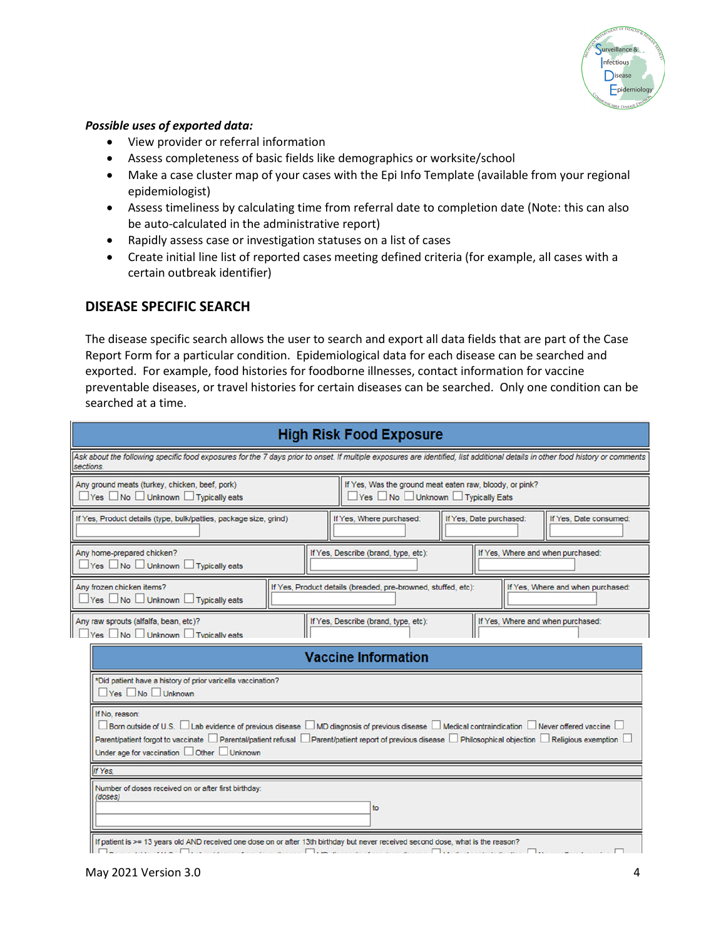

#### *Possible uses of exported data:*

- View provider or referral information
- Assess completeness of basic fields like demographics or worksite/school
- Make a case cluster map of your cases with the Epi Info Template (available from your regional epidemiologist)
- Assess timeliness by calculating time from referral date to completion date (Note: this can also be auto-calculated in the administrative report)
- Rapidly assess case or investigation statuses on a list of cases
- Create initial line list of reported cases meeting defined criteria (for example, all cases with a certain outbreak identifier)

### **DISEASE SPECIFIC SEARCH**

The disease specific search allows the user to search and export all data fields that are part of the Case Report Form for a particular condition. Epidemiological data for each disease can be searched and exported. For example, food histories for foodborne illnesses, contact information for vaccine preventable diseases, or travel histories for certain diseases can be searched. Only one condition can be searched at a time.

| <b>High Risk Food Exposure</b>                                                                                                                                                                                                                                                                                                                           |  |  |  |  |  |  |
|----------------------------------------------------------------------------------------------------------------------------------------------------------------------------------------------------------------------------------------------------------------------------------------------------------------------------------------------------------|--|--|--|--|--|--|
| Ask about the following specific food exposures for the 7 days prior to onset. If multiple exposures are identified, list additional details in other food history or comments<br>sections.                                                                                                                                                              |  |  |  |  |  |  |
| Any ground meats (turkey, chicken, beef, pork)<br>If Yes, Was the ground meat eaten raw, bloody, or pink?<br>Yes No Unknown Typically Eats<br>□Yes □No □ Unknown □ Typically eats                                                                                                                                                                        |  |  |  |  |  |  |
| If Yes, Where purchased:<br>If Yes, Date purchased:<br>If Yes, Product details (type, bulk/patties, package size, grind)<br>If Yes. Date consumed:                                                                                                                                                                                                       |  |  |  |  |  |  |
| Any home-prepared chicken?<br>If Yes, Describe (brand, type, etc):<br>If Yes, Where and when purchased:<br>■ Yes No Unknown Typically eats                                                                                                                                                                                                               |  |  |  |  |  |  |
| Any frozen chicken items?<br>If Yes, Product details (breaded, pre-browned, stuffed, etc):<br>If Yes. Where and when purchased:<br><b>Yes</b> No Unknown Typically eats                                                                                                                                                                                  |  |  |  |  |  |  |
| Any raw sprouts (alfalfa, bean, etc)?<br>If Yes, Describe (brand, type, etc):<br>If Yes, Where and when purchased:<br>Yes No Unknown Typically eats                                                                                                                                                                                                      |  |  |  |  |  |  |
| <b>Vaccine Information</b>                                                                                                                                                                                                                                                                                                                               |  |  |  |  |  |  |
| *Did patient have a history of prior varicella vaccination?<br>Yes No Unknown                                                                                                                                                                                                                                                                            |  |  |  |  |  |  |
| If No, reason:<br>Born outside of U.S. Lab evidence of previous disease MD diagnosis of previous disease Medical contraindication Never offered vaccine<br>Parent/patient forgot to vaccinate Derental/patient refusal Derent/patient report of previous disease Derilosophical objection Deligious exemption<br>Under age for vaccination Other Unknown |  |  |  |  |  |  |
| If Yes.                                                                                                                                                                                                                                                                                                                                                  |  |  |  |  |  |  |
| Number of doses received on or after first birthday:<br>(doses)<br>to                                                                                                                                                                                                                                                                                    |  |  |  |  |  |  |
| If patient is >= 13 years old AND received one dose on or after 13th birthday but never received second dose, what is the reason?<br>$\overline{\phantom{a}}$                                                                                                                                                                                            |  |  |  |  |  |  |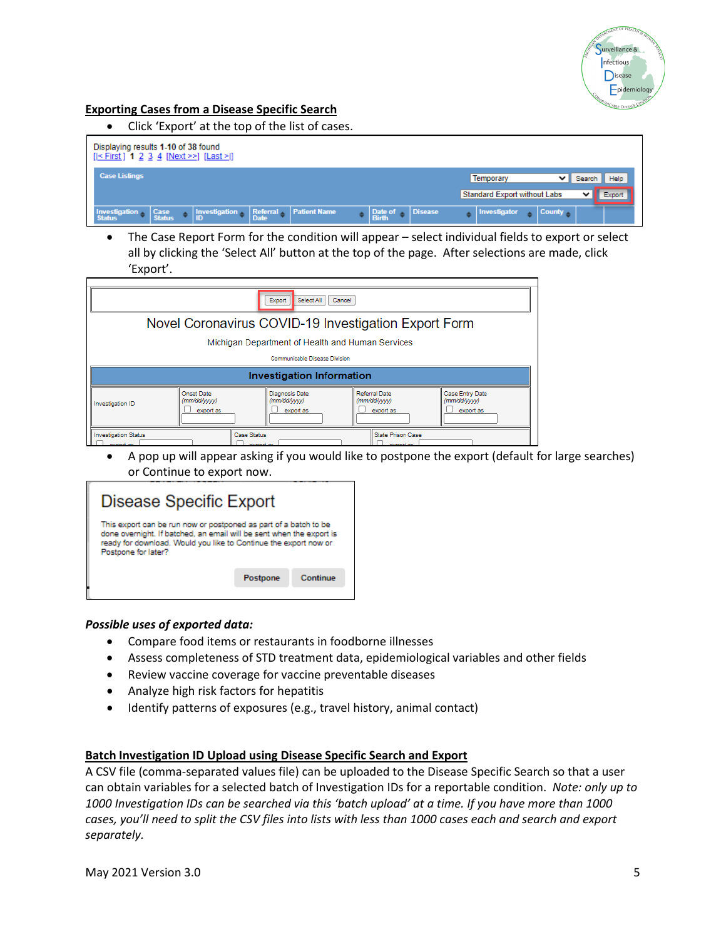

#### **Exporting Cases from a Disease Specific Search**

• Click 'Export' at the top of the list of cases.

| Displaying results 1-10 of 38 found<br>$[ < First]$ 1 2 3 4 $[Next >>]$ $[Last >]$                                                       |                                                                              |
|------------------------------------------------------------------------------------------------------------------------------------------|------------------------------------------------------------------------------|
| <b>Case Listings</b>                                                                                                                     | Temporary<br>Help<br>Search<br><b>Standard Export without Labs</b><br>Export |
| Referral Patient Name<br>$\bullet$ Disease<br>Investigation Case<br>Status Status<br><b>Investigation</b><br>Date of<br>Birth<br>▼ I iii | County<br>Investigator                                                       |

• The Case Report Form for the condition will appear – select individual fields to export or select all by clicking the 'Select All' button at the top of the page. After selections are made, click 'Export'.

| Select All<br>Export<br>Cancel                       |                                                |                                             |                                            |                                              |  |  |
|------------------------------------------------------|------------------------------------------------|---------------------------------------------|--------------------------------------------|----------------------------------------------|--|--|
| Novel Coronavirus COVID-19 Investigation Export Form |                                                |                                             |                                            |                                              |  |  |
| Michigan Department of Health and Human Services     |                                                |                                             |                                            |                                              |  |  |
|                                                      | Communicable Disease Division                  |                                             |                                            |                                              |  |  |
| Investigation Information                            |                                                |                                             |                                            |                                              |  |  |
| Investigation ID                                     | <b>Onset Date</b><br>(mm/dd/yyyy)<br>export as | Diagnosis Date<br>(mm/dd/yyyy)<br>export as | Referral Date<br>(mm/dd/yyyy)<br>export as | Case Entry Date<br>(mm/dd/yyyy)<br>export as |  |  |
| <b>Investigation Status</b>                          | Case Status                                    |                                             | State Prison Case                          |                                              |  |  |

• A pop up will appear asking if you would like to postpone the export (default for large searches) or Continue to export now.

| <b>Disease Specific Export</b>                                                                                                                                                                                                      |          |          |  |  |
|-------------------------------------------------------------------------------------------------------------------------------------------------------------------------------------------------------------------------------------|----------|----------|--|--|
| This export can be run now or postponed as part of a batch to be<br>done overnight. If batched, an email will be sent when the export is<br>ready for download. Would you like to Continue the export now or<br>Postoone for later? |          |          |  |  |
|                                                                                                                                                                                                                                     | Postpone | Continue |  |  |

#### *Possible uses of exported data:*

- Compare food items or restaurants in foodborne illnesses
- Assess completeness of STD treatment data, epidemiological variables and other fields
- Review vaccine coverage for vaccine preventable diseases
- Analyze high risk factors for hepatitis
- Identify patterns of exposures (e.g., travel history, animal contact)

#### **Batch Investigation ID Upload using Disease Specific Search and Export**

A CSV file (comma-separated values file) can be uploaded to the Disease Specific Search so that a user can obtain variables for a selected batch of Investigation IDs for a reportable condition. *Note: only up to 1000 Investigation IDs can be searched via this 'batch upload' at a time. If you have more than 1000 cases, you'll need to split the CSV files into lists with less than 1000 cases each and search and export separately.*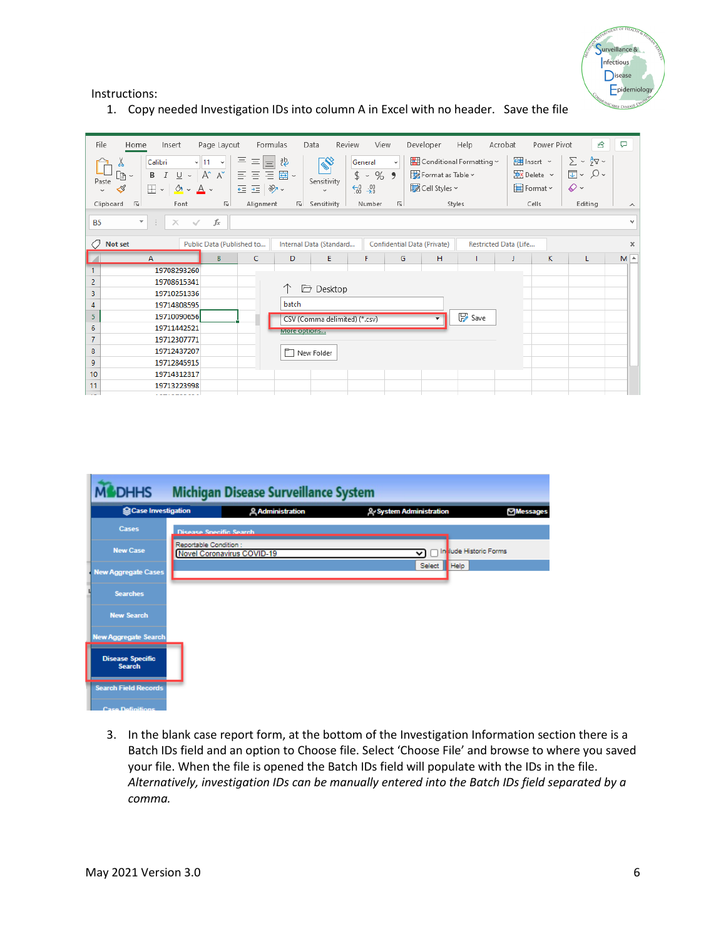

#### Instructions:

1. Copy needed Investigation IDs into column A in Excel with no header. Save the file

| File<br>Page Layout<br>Insert<br>Home<br>三<br>$\equiv$ $\equiv$<br>Calibri<br>$\sim$ 11<br>$\underline{U}$ $\sim$ $A^*$ $A^*$<br>目目目圍・<br>B I<br>À×<br>Paste<br>三王》。<br>$\mathbb{H}$ - $\mathbb{Q}$ - $\mathbb{A}$ -<br>I<br>$\checkmark$ | Formulas<br>Data<br>Review<br>View<br>흲<br>General<br>$$ 8 - 969$<br>Sensitivity<br>$\frac{1}{60}$ $\frac{10}{60}$<br>$\checkmark$ | Help<br>Developer<br>Conditional Formatting ~<br>$\checkmark$<br>Format as Table ~<br>Cell Styles ~ | Power Pivot<br>啓<br>₽<br>Acrobat<br>图 Insert ×<br>$\Sigma \cdot 5$<br>$\overline{L}$ v $Q$ v<br>$\overline{P}$ X Delete $\sim$<br>$\diamond$ .<br><b>田</b> Format ~ |
|-------------------------------------------------------------------------------------------------------------------------------------------------------------------------------------------------------------------------------------------|------------------------------------------------------------------------------------------------------------------------------------|-----------------------------------------------------------------------------------------------------|---------------------------------------------------------------------------------------------------------------------------------------------------------------------|
| $\overline{u}$<br>Clipboard<br>$\overline{\mathbb{R}}$<br>Alignment<br>Font                                                                                                                                                               | Sensitivity<br>Number                                                                                                              | $\overline{\mathbb{N}}$<br>Styles                                                                   | Cells<br>Editing<br>$\wedge$                                                                                                                                        |
| $f_{\rm x}$<br>$\overline{\mathbf{v}}$<br><b>B5</b><br>÷<br>$\times$ $\checkmark$                                                                                                                                                         |                                                                                                                                    |                                                                                                     | $\sim$                                                                                                                                                              |
| O<br><b>Not set</b><br>Public Data (Published to                                                                                                                                                                                          | Internal Data (Standard                                                                                                            | Confidential Data (Private)                                                                         | Restricted Data (Life<br>$\times$                                                                                                                                   |
| B<br>c<br>А                                                                                                                                                                                                                               | E<br>F<br>D                                                                                                                        | H<br>G                                                                                              | κ<br>$M \sim$<br>J<br>L                                                                                                                                             |
| 19708293260                                                                                                                                                                                                                               |                                                                                                                                    |                                                                                                     |                                                                                                                                                                     |
| 2<br>19708615341                                                                                                                                                                                                                          |                                                                                                                                    |                                                                                                     |                                                                                                                                                                     |
| 3<br>19710251336                                                                                                                                                                                                                          | Desktop                                                                                                                            |                                                                                                     |                                                                                                                                                                     |
| 4<br>19714808595                                                                                                                                                                                                                          | batch                                                                                                                              |                                                                                                     |                                                                                                                                                                     |
| 5<br>19710090656                                                                                                                                                                                                                          | CSV (Comma delimited) (*.csv)                                                                                                      | $\mathbb{F}$ Save                                                                                   |                                                                                                                                                                     |
| 6<br>19711442521                                                                                                                                                                                                                          | More options                                                                                                                       |                                                                                                     |                                                                                                                                                                     |
| $\overline{7}$<br>19712307771                                                                                                                                                                                                             |                                                                                                                                    |                                                                                                     |                                                                                                                                                                     |
| 8<br>19712437207                                                                                                                                                                                                                          | r<br>New Folder                                                                                                                    |                                                                                                     |                                                                                                                                                                     |
| 9<br>19712845915                                                                                                                                                                                                                          |                                                                                                                                    |                                                                                                     |                                                                                                                                                                     |
| 10<br>19714312317                                                                                                                                                                                                                         |                                                                                                                                    |                                                                                                     |                                                                                                                                                                     |
| 11<br>19713223998                                                                                                                                                                                                                         |                                                                                                                                    |                                                                                                     |                                                                                                                                                                     |



3. In the blank case report form, at the bottom of the Investigation Information section there is a Batch IDs field and an option to Choose file. Select 'Choose File' and browse to where you saved your file. When the file is opened the Batch IDs field will populate with the IDs in the file. *Alternatively, investigation IDs can be manually entered into the Batch IDs field separated by a comma.*